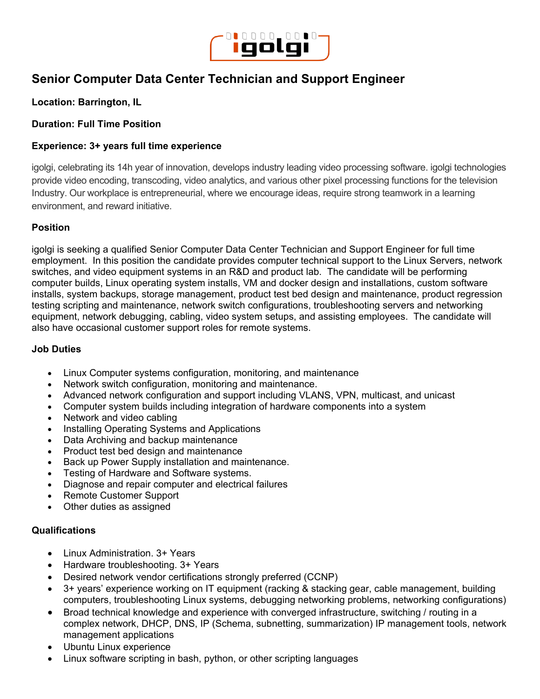

# **Senior Computer Data Center Technician and Support Engineer**

## **Location: Barrington, IL**

### **Duration: Full Time Position**

### **Experience: 3+ years full time experience**

igolgi, celebrating its 14h year of innovation, develops industry leading video processing software. igolgi technologies provide video encoding, transcoding, video analytics, and various other pixel processing functions for the television Industry. Our workplace is entrepreneurial, where we encourage ideas, require strong teamwork in a learning environment, and reward initiative.

#### **Position**

igolgi is seeking a qualified Senior Computer Data Center Technician and Support Engineer for full time employment. In this position the candidate provides computer technical support to the Linux Servers, network switches, and video equipment systems in an R&D and product lab. The candidate will be performing computer builds, Linux operating system installs, VM and docker design and installations, custom software installs, system backups, storage management, product test bed design and maintenance, product regression testing scripting and maintenance, network switch configurations, troubleshooting servers and networking equipment, network debugging, cabling, video system setups, and assisting employees. The candidate will also have occasional customer support roles for remote systems.

#### **Job Duties**

- Linux Computer systems configuration, monitoring, and maintenance
- Network switch configuration, monitoring and maintenance.
- Advanced network configuration and support including VLANS, VPN, multicast, and unicast
- Computer system builds including integration of hardware components into a system
- Network and video cabling
- Installing Operating Systems and Applications
- Data Archiving and backup maintenance
- Product test bed design and maintenance
- Back up Power Supply installation and maintenance.
- Testing of Hardware and Software systems.
- Diagnose and repair computer and electrical failures
- Remote Customer Support
- Other duties as assigned

#### **Qualifications**

- Linux Administration. 3+ Years
- Hardware troubleshooting. 3+ Years
- Desired network vendor certifications strongly preferred (CCNP)
- 3+ years' experience working on IT equipment (racking & stacking gear, cable management, building computers, troubleshooting Linux systems, debugging networking problems, networking configurations)
- Broad technical knowledge and experience with converged infrastructure, switching / routing in a complex network, DHCP, DNS, IP (Schema, subnetting, summarization) IP management tools, network management applications
- Ubuntu Linux experience
- Linux software scripting in bash, python, or other scripting languages